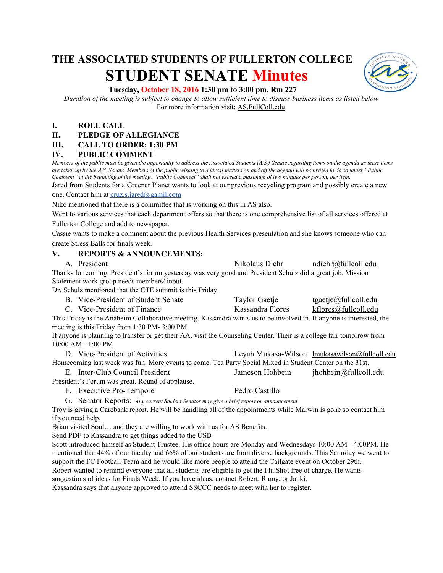# **THE ASSOCIATED STUDENTS OF FULLERTON COLLEGE STUDENT SENATE Minutes**



## **Tuesday, October 18, 2016 1:30 pm to 3:00 pm, Rm 227**

*Duration of the meeting is subject to change to allow sufficient time to discuss business items as listed below* For more information visit: AS.FullColl.edu

# **I. ROLL CALL**

## **II. PLEDGE OF ALLEGIANCE**

## **III. CALL TO ORDER: 1:30 PM**

## **IV. PUBLIC COMMENT**

*Members of the public must be given the opportunity to address the Associated Students (A.S.) Senate regarding items on the agenda as these items are taken up by the A.S. Senate. Members of the public wishing to address matters on and off the agenda will be invited to do so under "Public Comment" at the beginning of the meeting. "Public Comment" shall not exceed a maximum of two minutes per person, per item.*

Jared from Students for a Greener Planet wants to look at our previous recycling program and possibly create a new one. Contact him at [cruz.s.jared@gamil.com](mailto:cruz.s.jared@gamil.com)

Niko mentioned that there is a committee that is working on this in AS also.

Went to various services that each department offers so that there is one comprehensive list of all services offered at Fullerton College and add to newspaper.

Cassie wants to make a comment about the previous Health Services presentation and she knows someone who can create Stress Balls for finals week.

#### **V. REPORTS & ANNOUNCEMENTS:**

A. President Nikolaus Diehr [ndiehr@fullcoll.edu](mailto:ndiehr@fullcoll.edu) Thanks for coming. President's forum yesterday was very good and President Schulz did a great job. Mission Statement work group needs members/ input.

Dr. Schulz mentioned that the CTE summit is this Friday.

- B. Vice-President of Student Senate Taylor Gaetje [tgaetje@fullcoll.edu](mailto:tgaetje@fullcoll.edu)
	- C. Vice-President of Finance Kassandra Flores [kflores@fullcoll.edu](mailto:kflores@fullcoll.edu)

This Friday is the Anaheim Collaborative meeting. Kassandra wants us to be involved in. If anyone is interested, the meeting is this Friday from 1:30 PM- 3:00 PM

If anyone is planning to transfer or get their AA, visit the Counseling Center. Their is a college fair tomorrow from 10:00 AM - 1:00 PM

D. Vice-President of Activities Leyah Mukasa-Wilson [lmukasawilson@fullcoll.edu](mailto:lmukasawilson@fullcoll.edu) Homecoming last week was fun. More events to come. Tea Party Social Mixed in Student Center on the 31st. E. Inter-Club Council President Jameson Hohbein jhohbein includedu

President's Forum was great. Round of applause.

F. Executive Pro-Tempore Pedro Castillo

G. Senator Reports: *Any current Student Senator may give a brief report or announcement*

Troy is giving a Carebank report. He will be handling all of the appointments while Marwin is gone so contact him if you need help.

Brian visited Soul… and they are willing to work with us for AS Benefits.

Send PDF to Kassandra to get things added to the USB

Scott introduced himself as Student Trustee. His office hours are Monday and Wednesdays 10:00 AM - 4:00PM. He mentioned that 44% of our faculty and 66% of our students are from diverse backgrounds. This Saturday we went to support the FC Football Team and he would like more people to attend the Tailgate event on October 29th.

Robert wanted to remind everyone that all students are eligible to get the Flu Shot free of charge. He wants suggestions of ideas for Finals Week. If you have ideas, contact Robert, Ramy, or Janki.

Kassandra says that anyone approved to attend SSCCC needs to meet with her to register.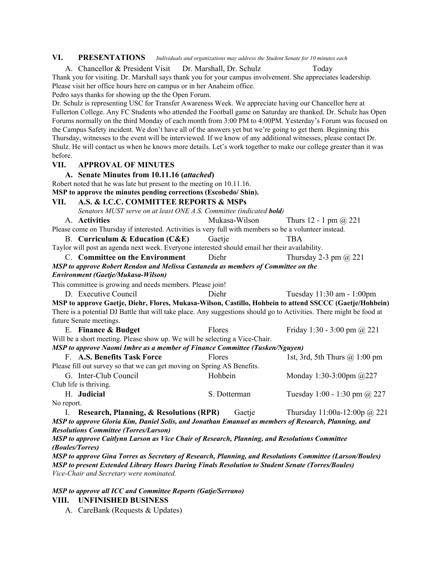#### **VI. PRESENTATIONS** *Individuals and organizations may address the Student Senate for 10 minutes each*

A. Chancellor & President Visit Dr. Marshall, Dr. Schulz Today

Thank you for visiting. Dr. Marshall says thank you for your campus involvement. She appreciates leadership. Please visit her office hours here on campus or in her Anaheim office.

Pedro says thanks for showing up the the Open Forum.

Dr. Schulz is representing USC for Transfer Awareness Week. We appreciate having our Chancellor here at Fullerton College. Any FC Students who attended the Football game on Saturday are thanked. Dr. Schulz has Open Forums normally on the third Monday of each month from 3:00 PM to 4:00PM. Yesterday's Forum was focused on the Campus Safety incident. We don't have all of the answers yet but we're going to get them. Beginning this Thursday, witnesses to the event will be interviewed. If we know of any additional witnesses, please contact Dr. Shulz. He will contact us when he knows more details. Let's work together to make our college greater than it was before.

#### **VII. APPROVAL OF MINUTES**

**A. Senate Minutes from 10.11.16 (***attached***)**

Robert noted that he was late but present to the meeting on 10.11.16.

**MSP to approve the minutes pending corrections (Escobedo/ Shin).**

## **VII. A.S. & I.C.C. COMMITTEE REPORTS & MSPs** *Senators MUST serve on at least ONE A.S. Committee (indicated bold)* A. **Activities** Mukasa-Wilson Thurs 12 - 1 pm @ 221

Please come on Thursday if interested. Activities is very full with members so be a volunteer instead.

B. **Curriculum & Education (C&E)** Gaetje TBA

Taylor will post an agenda next week. Everyone interested should email her their availability.

C. **Committee on the Environment** Diehr Thursday 2-3 pm @ 221

*MSP to approve Robert Rendon and Melissa Castaneda as members of Committee on the Environment (Gaetje/Mukasa-Wilson)*

This committee is growing and needs members. Please join!

D. Executive Council Diehr Tuesday 11:30 am - 1:00pm **MSP to approve Gaetje, Diehr, Flores, Mukasa-Wilson, Castillo, Hohbein to attend SSCCC (Gaetje/Hohbein)** There is a potential DJ Battle that will take place. Any suggestions should go to Activities. There might be food at future Senate meetings.

E. **Finance & Budget** Flores Friday 1:30 - 3:00 pm @ 221 Will be a short meeting. Please show up. We will be selecting a Vice-Chair.

# *MSP to approve Naomi Imbre as a member of Finance Committee (Tusken/Nguyen)*

| F. A.S. Benefits Task Force                                             | <b>Flores</b> | 1st, 3rd, 5th Thurs $(a)$ 1:00 pm |
|-------------------------------------------------------------------------|---------------|-----------------------------------|
| Please fill out survey so that we can get moving on Spring AS Benefits. |               |                                   |
| G. Inter-Club Council                                                   | Hohbein       | Monday 1:30-3:00pm $@227$         |
| Club life is thriving.                                                  |               |                                   |
| H. Judicial                                                             | S. Dotterman  | Tuesday 1:00 - 1:30 pm $(a)$ 227  |
| No report.                                                              |               |                                   |

I. **Research, Planning, & Resolutions (RPR)** Gaetje Thursday 11:00a-12:00p @ 221 *MSP to approve Gloria Kim, Daniel Solis, and Jonathan Emanuel as members of Research, Planning, and Resolutions Committee (Torres/Larson)*

*MSP to approve Caitlynn Larson as Vice Chair of Research, Planning, and Resolutions Committee (Boules/Torres)*

*MSP to approve Gina Torres as Secretary of Research, Planning, and Resolutions Committee (Larson/Boules) MSP to present Extended Library Hours During Finals Resolution to Student Senate (Torres/Boules) Vice-Chair and Secretary were nominated.*

#### *MSP to approve all ICC and Committee Reports (Gatje/Serrano)* **VIII. UNFINISHED BUSINESS**

A. CareBank (Requests & Updates)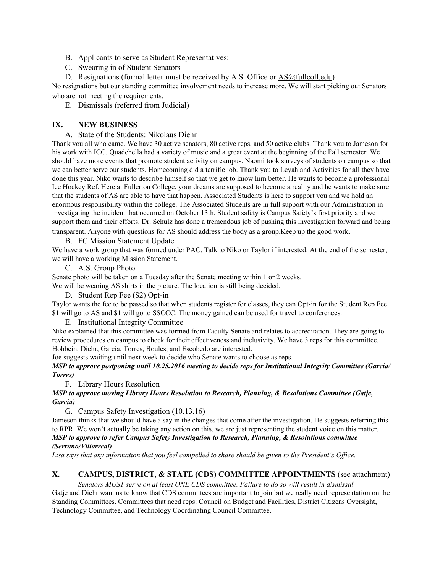- B. Applicants to serve as Student Representatives:
- C. Swearing in of Student Senators
- D. Resignations (formal letter must be received by A.S. Office or [AS@fullcoll.edu\)](mailto:AS@fullcoll.edu)

No resignations but our standing committee involvement needs to increase more. We will start picking out Senators who are not meeting the requirements.

E. Dismissals (referred from Judicial)

# **IX. NEW BUSINESS**

A. State of the Students: Nikolaus Diehr

Thank you all who came. We have 30 active senators, 80 active reps, and 50 active clubs. Thank you to Jameson for his work with ICC. Quadchella had a variety of music and a great event at the beginning of the Fall semester. We should have more events that promote student activity on campus. Naomi took surveys of students on campus so that we can better serve our students. Homecoming did a terrific job. Thank you to Leyah and Activities for all they have done this year. Niko wants to describe himself so that we get to know him better. He wants to become a professional Ice Hockey Ref. Here at Fullerton College, your dreams are supposed to become a reality and he wants to make sure that the students of AS are able to have that happen. Associated Students is here to support you and we hold an enormous responsibility within the college. The Associated Students are in full support with our Administration in investigating the incident that occurred on October 13th. Student safety is Campus Safety's first priority and we support them and their efforts. Dr. Schulz has done a tremendous job of pushing this investigation forward and being transparent. Anyone with questions for AS should address the body as a group.Keep up the good work.

B. FC Mission Statement Update

We have a work group that was formed under PAC. Talk to Niko or Taylor if interested. At the end of the semester, we will have a working Mission Statement.

C. A.S. Group Photo

Senate photo will be taken on a Tuesday after the Senate meeting within 1 or 2 weeks.

We will be wearing AS shirts in the picture. The location is still being decided.

D. Student Rep Fee (\$2) Opt-in

Taylor wants the fee to be passed so that when students register for classes, they can Opt-in for the Student Rep Fee. \$1 will go to AS and \$1 will go to SSCCC. The money gained can be used for travel to conferences.

#### E. Institutional Integrity Committee

Niko explained that this committee was formed from Faculty Senate and relates to accreditation. They are going to review procedures on campus to check for their effectiveness and inclusivity. We have 3 reps for this committee. Hohbein, Diehr, Garcia, Torres, Boules, and Escobedo are interested.

Joe suggests waiting until next week to decide who Senate wants to choose as reps.

*MSP to approve postponing until 10.25.2016 meeting to decide reps for Institutional Integrity Committee (Garcia/ Torres)*

F. Library Hours Resolution

## *MSP to approve moving Library Hours Resolution to Research, Planning, & Resolutions Committee (Gatje, Garcia)*

G. Campus Safety Investigation (10.13.16)

Jameson thinks that we should have a say in the changes that come after the investigation. He suggests referring this to RPR. We won't actually be taking any action on this, we are just representing the student voice on this matter. *MSP to approve to refer Campus Safety Investigation to Research, Planning, & Resolutions committee (Serrano/Villarreal)*

Lisa says that any information that you feel compelled to share should be given to the President's Office.

# **X. CAMPUS, DISTRICT, & STATE (CDS) COMMITTEE APPOINTMENTS** ( see attachment)

*Senators MUST serve on at least ONE CDS committee. Failure to do so will result in dismissal.* Gatje and Diehr want us to know that CDS committees are important to join but we really need representation on the Standing Committees. Committees that need reps: Council on Budget and Facilities, District Citizens Oversight, Technology Committee, and Technology Coordinating Council Committee.